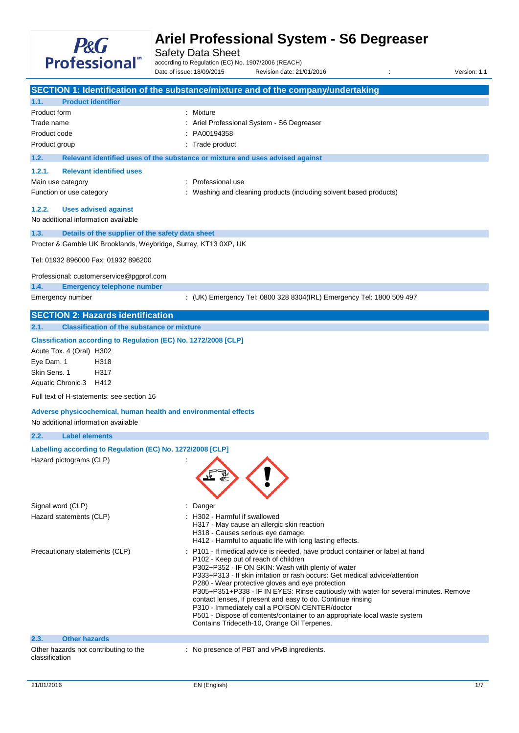

Safety Data Sheet

according to Regulation (EC) No. 1907/2006 (REACH) Date of issue: 18/09/2015 Revision date: 21/01/2016 : Version: 1.1

|                                                                                                        | SECTION 1: Identification of the substance/mixture and of the company/undertaking                                                                                                                                                                                                                                                                                                                                                                                                                                                                                                                                                                |  |  |
|--------------------------------------------------------------------------------------------------------|--------------------------------------------------------------------------------------------------------------------------------------------------------------------------------------------------------------------------------------------------------------------------------------------------------------------------------------------------------------------------------------------------------------------------------------------------------------------------------------------------------------------------------------------------------------------------------------------------------------------------------------------------|--|--|
| <b>Product identifier</b><br>1.1.                                                                      |                                                                                                                                                                                                                                                                                                                                                                                                                                                                                                                                                                                                                                                  |  |  |
| Product form                                                                                           | : Mixture                                                                                                                                                                                                                                                                                                                                                                                                                                                                                                                                                                                                                                        |  |  |
| Trade name                                                                                             | Ariel Professional System - S6 Degreaser                                                                                                                                                                                                                                                                                                                                                                                                                                                                                                                                                                                                         |  |  |
| Product code                                                                                           | PA00194358                                                                                                                                                                                                                                                                                                                                                                                                                                                                                                                                                                                                                                       |  |  |
| Product group                                                                                          | Trade product                                                                                                                                                                                                                                                                                                                                                                                                                                                                                                                                                                                                                                    |  |  |
| 1.2.                                                                                                   | Relevant identified uses of the substance or mixture and uses advised against                                                                                                                                                                                                                                                                                                                                                                                                                                                                                                                                                                    |  |  |
| <b>Relevant identified uses</b><br>1.2.1.                                                              |                                                                                                                                                                                                                                                                                                                                                                                                                                                                                                                                                                                                                                                  |  |  |
| Main use category                                                                                      | Professional use                                                                                                                                                                                                                                                                                                                                                                                                                                                                                                                                                                                                                                 |  |  |
| Function or use category                                                                               | Washing and cleaning products (including solvent based products)                                                                                                                                                                                                                                                                                                                                                                                                                                                                                                                                                                                 |  |  |
| 1.2.2.<br><b>Uses advised against</b><br>No additional information available                           |                                                                                                                                                                                                                                                                                                                                                                                                                                                                                                                                                                                                                                                  |  |  |
| Details of the supplier of the safety data sheet<br>1.3.                                               |                                                                                                                                                                                                                                                                                                                                                                                                                                                                                                                                                                                                                                                  |  |  |
| Procter & Gamble UK Brooklands, Weybridge, Surrey, KT13 0XP, UK                                        |                                                                                                                                                                                                                                                                                                                                                                                                                                                                                                                                                                                                                                                  |  |  |
| Tel: 01932 896000 Fax: 01932 896200                                                                    |                                                                                                                                                                                                                                                                                                                                                                                                                                                                                                                                                                                                                                                  |  |  |
| Professional: customerservice@pgprof.com<br><b>Emergency telephone number</b><br>1.4.                  |                                                                                                                                                                                                                                                                                                                                                                                                                                                                                                                                                                                                                                                  |  |  |
| Emergency number                                                                                       | : (UK) Emergency Tel: 0800 328 8304(IRL) Emergency Tel: 1800 509 497                                                                                                                                                                                                                                                                                                                                                                                                                                                                                                                                                                             |  |  |
| <b>SECTION 2: Hazards identification</b>                                                               |                                                                                                                                                                                                                                                                                                                                                                                                                                                                                                                                                                                                                                                  |  |  |
| <b>Classification of the substance or mixture</b><br>2.1.                                              |                                                                                                                                                                                                                                                                                                                                                                                                                                                                                                                                                                                                                                                  |  |  |
| Classification according to Regulation (EC) No. 1272/2008 [CLP]                                        |                                                                                                                                                                                                                                                                                                                                                                                                                                                                                                                                                                                                                                                  |  |  |
| Acute Tox. 4 (Oral) H302                                                                               |                                                                                                                                                                                                                                                                                                                                                                                                                                                                                                                                                                                                                                                  |  |  |
| Eye Dam. 1<br>H318                                                                                     |                                                                                                                                                                                                                                                                                                                                                                                                                                                                                                                                                                                                                                                  |  |  |
| Skin Sens. 1<br>H317                                                                                   |                                                                                                                                                                                                                                                                                                                                                                                                                                                                                                                                                                                                                                                  |  |  |
| Aquatic Chronic 3<br>H412                                                                              |                                                                                                                                                                                                                                                                                                                                                                                                                                                                                                                                                                                                                                                  |  |  |
| Full text of H-statements: see section 16                                                              |                                                                                                                                                                                                                                                                                                                                                                                                                                                                                                                                                                                                                                                  |  |  |
| Adverse physicochemical, human health and environmental effects<br>No additional information available |                                                                                                                                                                                                                                                                                                                                                                                                                                                                                                                                                                                                                                                  |  |  |
| <b>Label elements</b><br>2.2.                                                                          |                                                                                                                                                                                                                                                                                                                                                                                                                                                                                                                                                                                                                                                  |  |  |
| Labelling according to Regulation (EC) No. 1272/2008 [CLP]                                             |                                                                                                                                                                                                                                                                                                                                                                                                                                                                                                                                                                                                                                                  |  |  |
| Hazard pictograms (CLP)                                                                                |                                                                                                                                                                                                                                                                                                                                                                                                                                                                                                                                                                                                                                                  |  |  |
|                                                                                                        |                                                                                                                                                                                                                                                                                                                                                                                                                                                                                                                                                                                                                                                  |  |  |
| Signal word (CLP)                                                                                      | : Danger                                                                                                                                                                                                                                                                                                                                                                                                                                                                                                                                                                                                                                         |  |  |
| Hazard statements (CLP)                                                                                | : H302 - Harmful if swallowed<br>H317 - May cause an allergic skin reaction<br>H318 - Causes serious eye damage.<br>H412 - Harmful to aquatic life with long lasting effects.                                                                                                                                                                                                                                                                                                                                                                                                                                                                    |  |  |
| Precautionary statements (CLP)                                                                         | P101 - If medical advice is needed, have product container or label at hand<br>P102 - Keep out of reach of children<br>P302+P352 - IF ON SKIN: Wash with plenty of water<br>P333+P313 - If skin irritation or rash occurs: Get medical advice/attention<br>P280 - Wear protective gloves and eye protection<br>P305+P351+P338 - IF IN EYES: Rinse cautiously with water for several minutes. Remove<br>contact lenses, if present and easy to do. Continue rinsing<br>P310 - Immediately call a POISON CENTER/doctor<br>P501 - Dispose of contents/container to an appropriate local waste system<br>Contains Trideceth-10, Orange Oil Terpenes. |  |  |
| 2.3.<br><b>Other hazards</b>                                                                           |                                                                                                                                                                                                                                                                                                                                                                                                                                                                                                                                                                                                                                                  |  |  |
| Other hazards not contributing to the<br>classification                                                | : No presence of PBT and vPvB ingredients.                                                                                                                                                                                                                                                                                                                                                                                                                                                                                                                                                                                                       |  |  |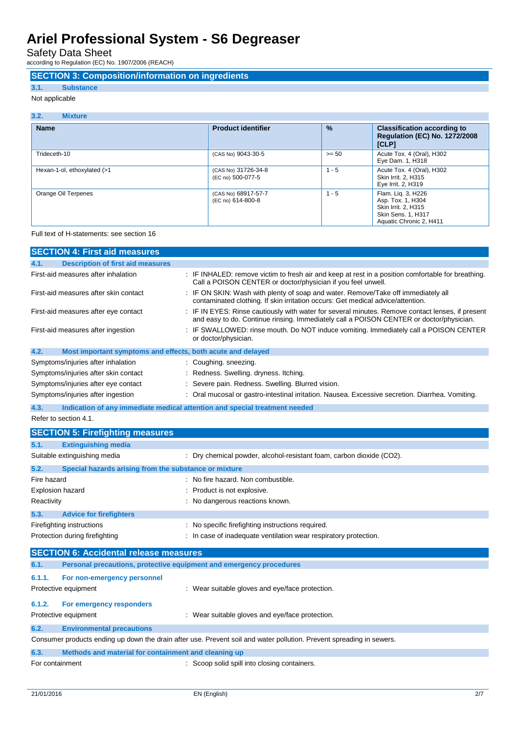Safety Data Sheet

according to Regulation (EC) No. 1907/2006 (REACH)

## **SECTION 3: Composition/information on ingredients**

## **3.1. Substance**

Not applicable

| 3.2.<br><b>Mixture</b>      |                                          |               |                                                                                                                 |
|-----------------------------|------------------------------------------|---------------|-----------------------------------------------------------------------------------------------------------------|
| <b>Name</b>                 | <b>Product identifier</b>                | $\frac{9}{6}$ | <b>Classification according to</b><br><b>Regulation (EC) No. 1272/2008</b><br>[CLP]                             |
| Trideceth-10                | (CAS No) 9043-30-5                       | $>= 50$       | Acute Tox. 4 (Oral), H302<br>Eye Dam. 1, H318                                                                   |
| Hexan-1-ol, ethoxylated (>1 | (CAS No) 31726-34-8<br>(EC no) 500-077-5 | $1 - 5$       | Acute Tox. 4 (Oral), H302<br>Skin Irrit. 2. H315<br>Eye Irrit. 2, H319                                          |
| Orange Oil Terpenes         | (CAS No) 68917-57-7<br>(EC no) 614-800-8 | $1 - 5$       | Flam. Lig. 3, H226<br>Asp. Tox. 1, H304<br>Skin Irrit. 2, H315<br>Skin Sens. 1, H317<br>Aquatic Chronic 2, H411 |

### Full text of H-statements: see section 16

| <b>SECTION 4: First aid measures</b>                                |                                                                                                                                                                                             |
|---------------------------------------------------------------------|---------------------------------------------------------------------------------------------------------------------------------------------------------------------------------------------|
| 4.1.<br><b>Description of first aid measures</b>                    |                                                                                                                                                                                             |
| First-aid measures after inhalation                                 | : IF INHALED: remove victim to fresh air and keep at rest in a position comfortable for breathing.<br>Call a POISON CENTER or doctor/physician if you feel unwell.                          |
| First-aid measures after skin contact                               | : IF ON SKIN: Wash with plenty of soap and water. Remove/Take off immediately all<br>contaminated clothing. If skin irritation occurs: Get medical advice/attention.                        |
| First-aid measures after eye contact                                | : IF IN EYES: Rinse cautiously with water for several minutes. Remove contact lenses, if present<br>and easy to do. Continue rinsing. Immediately call a POISON CENTER or doctor/physician. |
| First-aid measures after ingestion                                  | : IF SWALLOWED: rinse mouth. Do NOT induce vomiting. Immediately call a POISON CENTER<br>or doctor/physician.                                                                               |
| 4.2.<br>Most important symptoms and effects, both acute and delayed |                                                                                                                                                                                             |
| Symptoms/injuries after inhalation                                  | : Coughing. sneezing.                                                                                                                                                                       |
| Symptoms/injuries after skin contact                                | : Redness. Swelling. dryness. Itching.                                                                                                                                                      |
| Symptoms/injuries after eye contact                                 | : Severe pain. Redness. Swelling. Blurred vision.                                                                                                                                           |
| Symptoms/injuries after ingestion                                   | : Oral mucosal or gastro-intestinal irritation. Nausea. Excessive secretion. Diarrhea. Vomiting.                                                                                            |
| 4.3.                                                                | Indication of any immediate medical attention and special treatment needed                                                                                                                  |
| Refer to section 4.1.                                               |                                                                                                                                                                                             |

|                         | <b>SECTION 5: Firefighting measures</b>               |                                                                      |  |
|-------------------------|-------------------------------------------------------|----------------------------------------------------------------------|--|
| 5.1.                    | <b>Extinguishing media</b>                            |                                                                      |  |
|                         | Suitable extinguishing media                          | : Dry chemical powder, alcohol-resistant foam, carbon dioxide (CO2). |  |
| 5.2.                    | Special hazards arising from the substance or mixture |                                                                      |  |
| Fire hazard             |                                                       | : No fire hazard. Non combustible.                                   |  |
| <b>Explosion hazard</b> |                                                       | : Product is not explosive.                                          |  |
| Reactivity              |                                                       | : No dangerous reactions known.                                      |  |
| 5.3.                    | <b>Advice for firefighters</b>                        |                                                                      |  |
|                         | Firefighting instructions                             | : No specific firefighting instructions required.                    |  |
|                         | Protection during firefighting                        | : In case of inadequate ventilation wear respiratory protection.     |  |
|                         | <b>SECTION 6: Accidental release measures</b>         |                                                                      |  |

| 6.1.                                                                                                                 | Personal precautions, protective equipment and emergency procedures |                                                 |
|----------------------------------------------------------------------------------------------------------------------|---------------------------------------------------------------------|-------------------------------------------------|
| 6.1.1.                                                                                                               | For non-emergency personnel<br>Protective equipment                 | : Wear suitable gloves and eye/face protection. |
| 6.1.2.                                                                                                               | For emergency responders                                            |                                                 |
|                                                                                                                      | Protective equipment                                                | : Wear suitable gloves and eye/face protection. |
| 6.2.                                                                                                                 | <b>Environmental precautions</b>                                    |                                                 |
| Consumer products ending up down the drain after use. Prevent soil and water pollution. Prevent spreading in sewers. |                                                                     |                                                 |
| 6.3.                                                                                                                 | Methods and material for containment and cleaning up                |                                                 |
| For containment                                                                                                      |                                                                     | Scoop solid spill into closing containers.      |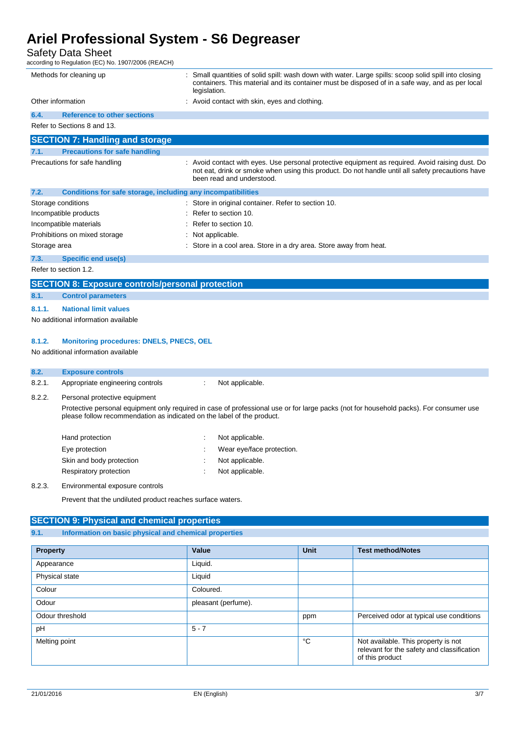## Safety Data Sheet

according to Regulation (EC) No. 1907/2006 (REACH)

|                               | Methods for cleaning up                                      | Small quantities of solid spill: wash down with water. Large spills: scoop solid spill into closing<br>containers. This material and its container must be disposed of in a safe way, and as per local<br>legislation.            |
|-------------------------------|--------------------------------------------------------------|-----------------------------------------------------------------------------------------------------------------------------------------------------------------------------------------------------------------------------------|
| Other information             |                                                              | Avoid contact with skin, eyes and clothing.                                                                                                                                                                                       |
| 6.4.                          | <b>Reference to other sections</b>                           |                                                                                                                                                                                                                                   |
|                               | Refer to Sections 8 and 13.                                  |                                                                                                                                                                                                                                   |
|                               | <b>SECTION 7: Handling and storage</b>                       |                                                                                                                                                                                                                                   |
| 7.1.                          | <b>Precautions for safe handling</b>                         |                                                                                                                                                                                                                                   |
|                               | Precautions for safe handling                                | : Avoid contact with eyes. Use personal protective equipment as required. Avoid raising dust. Do<br>not eat, drink or smoke when using this product. Do not handle until all safety precautions have<br>been read and understood. |
| 7.2.                          | Conditions for safe storage, including any incompatibilities |                                                                                                                                                                                                                                   |
|                               | Storage conditions                                           | : Store in original container. Refer to section 10.                                                                                                                                                                               |
|                               | Incompatible products                                        | Refer to section 10.                                                                                                                                                                                                              |
|                               | Incompatible materials                                       | Refer to section 10.                                                                                                                                                                                                              |
| Prohibitions on mixed storage |                                                              | : Not applicable.                                                                                                                                                                                                                 |
| Storage area                  |                                                              | : Store in a cool area. Store in a dry area. Store away from heat.                                                                                                                                                                |
| 7.3.                          | <b>Specific end use(s)</b>                                   |                                                                                                                                                                                                                                   |
|                               | Refer to section 1.2.                                        |                                                                                                                                                                                                                                   |
|                               | <b>SECTION 8: Exposure controls/personal protection</b>      |                                                                                                                                                                                                                                   |

|      | المالا والتباغ المالوالي والخروط المارد الأمانية والمائد المائد والمعاميل |                           |
|------|---------------------------------------------------------------------------|---------------------------|
|      |                                                                           |                           |
| 8.1. |                                                                           | <b>Control parameters</b> |

### **8.1.1. National limit values**

No additional information available

### **8.1.2. Monitoring procedures: DNELS, PNECS, OEL**

No additional information available

### **8.2. Exposure controls**

- 8.2.1. Appropriate engineering controls : Not applicable.
- 8.2.2. Personal protective equipment

Protective personal equipment only required in case of professional use or for large packs (not for household packs). For consumer use please follow recommendation as indicated on the label of the product.

| Hand protection          | Not applicable.           |
|--------------------------|---------------------------|
| Eye protection           | Wear eye/face protection. |
| Skin and body protection | Not applicable.           |
| Respiratory protection   | Not applicable.           |

### 8.2.3. Environmental exposure controls

Prevent that the undiluted product reaches surface waters.

### **SECTION 9: Physical and chemical properties**

### **9.1. Information on basic physical and chemical properties**

| <b>Property</b> | Value               | Unit | <b>Test method/Notes</b>                                                                             |
|-----------------|---------------------|------|------------------------------------------------------------------------------------------------------|
| Appearance      | Liquid.             |      |                                                                                                      |
| Physical state  | Liquid              |      |                                                                                                      |
| Colour          | Coloured.           |      |                                                                                                      |
| Odour           | pleasant (perfume). |      |                                                                                                      |
| Odour threshold |                     | ppm  | Perceived odor at typical use conditions                                                             |
| pH              | $5 - 7$             |      |                                                                                                      |
| Melting point   |                     | °C   | Not available. This property is not<br>relevant for the safety and classification<br>of this product |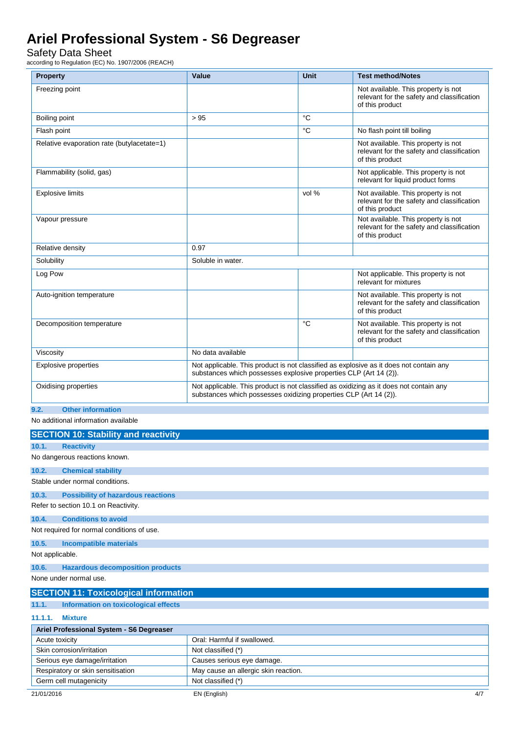## Safety Data Sheet

according to Regulation (EC) No. 1907/2006 (REACH)

| <b>Property</b>                               | Value                                                                                                                                                       | <b>Unit</b> | <b>Test method/Notes</b>                                                                             |
|-----------------------------------------------|-------------------------------------------------------------------------------------------------------------------------------------------------------------|-------------|------------------------------------------------------------------------------------------------------|
| Freezing point                                |                                                                                                                                                             |             | Not available. This property is not<br>relevant for the safety and classification<br>of this product |
| Boiling point                                 | >95                                                                                                                                                         | °C          |                                                                                                      |
| Flash point                                   |                                                                                                                                                             | °C          | No flash point till boiling                                                                          |
| Relative evaporation rate (butylacetate=1)    |                                                                                                                                                             |             | Not available. This property is not<br>relevant for the safety and classification<br>of this product |
| Flammability (solid, gas)                     |                                                                                                                                                             |             | Not applicable. This property is not<br>relevant for liquid product forms                            |
| <b>Explosive limits</b>                       |                                                                                                                                                             | vol %       | Not available. This property is not<br>relevant for the safety and classification<br>of this product |
| Vapour pressure                               |                                                                                                                                                             |             | Not available. This property is not<br>relevant for the safety and classification<br>of this product |
| Relative density                              | 0.97                                                                                                                                                        |             |                                                                                                      |
| Solubility                                    | Soluble in water.                                                                                                                                           |             |                                                                                                      |
| Log Pow                                       |                                                                                                                                                             |             | Not applicable. This property is not<br>relevant for mixtures                                        |
| Auto-ignition temperature                     |                                                                                                                                                             |             | Not available. This property is not<br>relevant for the safety and classification<br>of this product |
| Decomposition temperature                     |                                                                                                                                                             | °C          | Not available. This property is not<br>relevant for the safety and classification<br>of this product |
| Viscosity                                     | No data available                                                                                                                                           |             |                                                                                                      |
| <b>Explosive properties</b>                   | Not applicable. This product is not classified as explosive as it does not contain any<br>substances which possesses explosive properties CLP (Art 14 (2)). |             |                                                                                                      |
| Oxidising properties<br>0.0 Other Information | Not applicable. This product is not classified as oxidizing as it does not contain any<br>substances which possesses oxidizing properties CLP (Art 14 (2)). |             |                                                                                                      |

## **9.2. Other information**

No additional information available

|                                          | <b>SECTION 10: Stability and reactivity</b>    |                                                                                                        |  |
|------------------------------------------|------------------------------------------------|--------------------------------------------------------------------------------------------------------|--|
| 10.1.                                    | <b>Reactivity</b>                              |                                                                                                        |  |
|                                          | No dangerous reactions known.                  |                                                                                                        |  |
| 10.2.                                    | <b>Chemical stability</b>                      |                                                                                                        |  |
|                                          | Stable under normal conditions.                |                                                                                                        |  |
| 10.3.                                    | <b>Possibility of hazardous reactions</b>      |                                                                                                        |  |
|                                          | Refer to section 10.1 on Reactivity.           |                                                                                                        |  |
| 10.4.                                    | <b>Conditions to avoid</b>                     |                                                                                                        |  |
|                                          | Not required for normal conditions of use.     |                                                                                                        |  |
| 10.5.                                    | <b>Incompatible materials</b>                  |                                                                                                        |  |
| Not applicable.                          |                                                |                                                                                                        |  |
| 10.6.                                    | <b>Hazardous decomposition products</b>        |                                                                                                        |  |
|                                          | None under normal use.                         |                                                                                                        |  |
|                                          | <b>SECTION 11: Toxicological information</b>   |                                                                                                        |  |
| 11.1.                                    | Information on toxicological effects           |                                                                                                        |  |
| 11.1.1.                                  | <b>Mixture</b>                                 |                                                                                                        |  |
| Ariel Professional System - S6 Degreaser |                                                |                                                                                                        |  |
| Acute toxicity                           |                                                | Oral: Harmful if swallowed.                                                                            |  |
|                                          | $\mathbf{a}$ and $\mathbf{a}$ and $\mathbf{a}$ | $\cdots$<br>$\mathbf{r}$ $\mathbf{r}$ $\mathbf{r}$ $\mathbf{r}$ $\mathbf{r}$ $\mathbf{r}$ $\mathbf{r}$ |  |

| Acute toxicity                    | Oral: Harmful if swallowed.          |
|-----------------------------------|--------------------------------------|
| Skin corrosion/irritation         | Not classified (*)                   |
| Serious eye damage/irritation     | Causes serious eye damage.           |
| Respiratory or skin sensitisation | May cause an allergic skin reaction. |
| Germ cell mutagenicity            | Not classified (*)                   |
|                                   |                                      |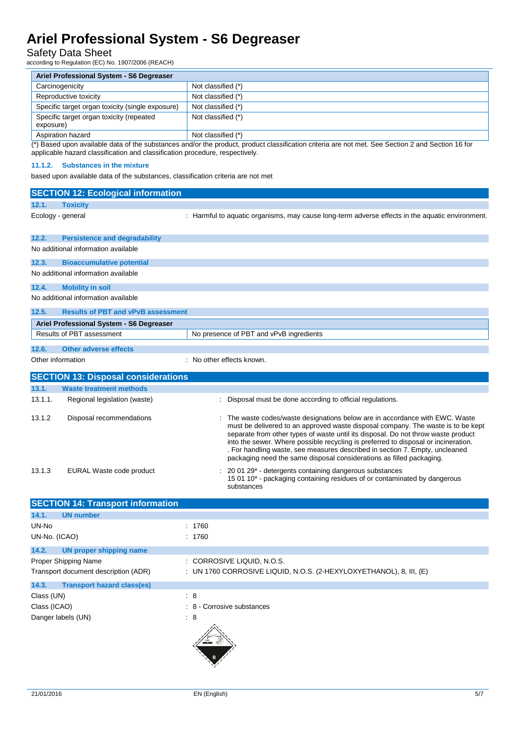## Safety Data Sheet

according to Regulation (EC) No. 1907/2006 (REACH)

| Ariel Professional System - S6 Degreaser              |                    |  |  |
|-------------------------------------------------------|--------------------|--|--|
| Carcinogenicity                                       | Not classified (*) |  |  |
| Reproductive toxicity                                 | Not classified (*) |  |  |
| Specific target organ toxicity (single exposure)      | Not classified (*) |  |  |
| Specific target organ toxicity (repeated<br>exposure) | Not classified (*) |  |  |
| Aspiration hazard                                     | Not classified (*) |  |  |

(\*) Based upon available data of the substances and/or the product, product classification criteria are not met. See Section 2 and Section 16 for applicable hazard classification and classification procedure, respectively.

### **11.1.2. Substances in the mixture**

based upon available data of the substances, classification criteria are not met

|                                                              | <b>SECTION 12: Ecological information</b>               |                           |                                                                                                                                                                                                                                                                                                                                                                                                                                                                                                    |  |  |  |  |
|--------------------------------------------------------------|---------------------------------------------------------|---------------------------|----------------------------------------------------------------------------------------------------------------------------------------------------------------------------------------------------------------------------------------------------------------------------------------------------------------------------------------------------------------------------------------------------------------------------------------------------------------------------------------------------|--|--|--|--|
| 12.1.                                                        | <b>Toxicity</b>                                         |                           |                                                                                                                                                                                                                                                                                                                                                                                                                                                                                                    |  |  |  |  |
| Ecology - general                                            |                                                         |                           | : Harmful to aquatic organisms, may cause long-term adverse effects in the aquatic environment.                                                                                                                                                                                                                                                                                                                                                                                                    |  |  |  |  |
| 12.2.                                                        | <b>Persistence and degradability</b>                    |                           |                                                                                                                                                                                                                                                                                                                                                                                                                                                                                                    |  |  |  |  |
|                                                              | No additional information available                     |                           |                                                                                                                                                                                                                                                                                                                                                                                                                                                                                                    |  |  |  |  |
| 12.3.                                                        | <b>Bioaccumulative potential</b>                        |                           |                                                                                                                                                                                                                                                                                                                                                                                                                                                                                                    |  |  |  |  |
|                                                              | No additional information available                     |                           |                                                                                                                                                                                                                                                                                                                                                                                                                                                                                                    |  |  |  |  |
| 12.4.                                                        | <b>Mobility in soil</b>                                 |                           |                                                                                                                                                                                                                                                                                                                                                                                                                                                                                                    |  |  |  |  |
| No additional information available                          |                                                         |                           |                                                                                                                                                                                                                                                                                                                                                                                                                                                                                                    |  |  |  |  |
| 12.5.                                                        | <b>Results of PBT and vPvB assessment</b>               |                           |                                                                                                                                                                                                                                                                                                                                                                                                                                                                                                    |  |  |  |  |
|                                                              | Ariel Professional System - S6 Degreaser                |                           |                                                                                                                                                                                                                                                                                                                                                                                                                                                                                                    |  |  |  |  |
|                                                              | Results of PBT assessment                               |                           | No presence of PBT and vPvB ingredients                                                                                                                                                                                                                                                                                                                                                                                                                                                            |  |  |  |  |
| 12.6.                                                        | <b>Other adverse effects</b>                            |                           |                                                                                                                                                                                                                                                                                                                                                                                                                                                                                                    |  |  |  |  |
| Other information                                            |                                                         | : No other effects known. |                                                                                                                                                                                                                                                                                                                                                                                                                                                                                                    |  |  |  |  |
|                                                              |                                                         |                           |                                                                                                                                                                                                                                                                                                                                                                                                                                                                                                    |  |  |  |  |
|                                                              | <b>SECTION 13: Disposal considerations</b>              |                           |                                                                                                                                                                                                                                                                                                                                                                                                                                                                                                    |  |  |  |  |
| 13.1.                                                        | <b>Waste treatment methods</b>                          |                           |                                                                                                                                                                                                                                                                                                                                                                                                                                                                                                    |  |  |  |  |
| 13.1.1.                                                      | Regional legislation (waste)                            |                           | Disposal must be done according to official regulations.                                                                                                                                                                                                                                                                                                                                                                                                                                           |  |  |  |  |
| 13.1.2                                                       | Disposal recommendations                                |                           | : The waste codes/waste designations below are in accordance with EWC. Waste<br>must be delivered to an approved waste disposal company. The waste is to be kept<br>separate from other types of waste until its disposal. Do not throw waste product<br>into the sewer. Where possible recycling is preferred to disposal or incineration.<br>. For handling waste, see measures described in section 7. Empty, uncleaned<br>packaging need the same disposal considerations as filled packaging. |  |  |  |  |
| 13.1.3                                                       | EURAL Waste code product                                |                           | : 20 01 29 <sup>*</sup> - detergents containing dangerous substances<br>15 01 10* - packaging containing residues of or contaminated by dangerous<br>substances                                                                                                                                                                                                                                                                                                                                    |  |  |  |  |
| <b>SECTION 14: Transport information</b>                     |                                                         |                           |                                                                                                                                                                                                                                                                                                                                                                                                                                                                                                    |  |  |  |  |
| 14.1.                                                        | <b>UN number</b>                                        |                           |                                                                                                                                                                                                                                                                                                                                                                                                                                                                                                    |  |  |  |  |
| UN-No<br>UN-No. (ICAO)                                       |                                                         | : 1760<br>: 1760          |                                                                                                                                                                                                                                                                                                                                                                                                                                                                                                    |  |  |  |  |
| 14.2.                                                        | <b>UN proper shipping name</b>                          |                           |                                                                                                                                                                                                                                                                                                                                                                                                                                                                                                    |  |  |  |  |
| Proper Shipping Name<br>Transport document description (ADR) |                                                         |                           | : CORROSIVE LIQUID, N.O.S.<br>: UN 1760 CORROSIVE LIQUID, N.O.S. (2-HEXYLOXYETHANOL), 8, III, (E)                                                                                                                                                                                                                                                                                                                                                                                                  |  |  |  |  |
| 14.3.<br>Class (UN)<br>Class (ICAO)                          | <b>Transport hazard class(es)</b><br>Danger labels (UN) | : 8<br>$\therefore$ 8     | : 8 - Corrosive substances                                                                                                                                                                                                                                                                                                                                                                                                                                                                         |  |  |  |  |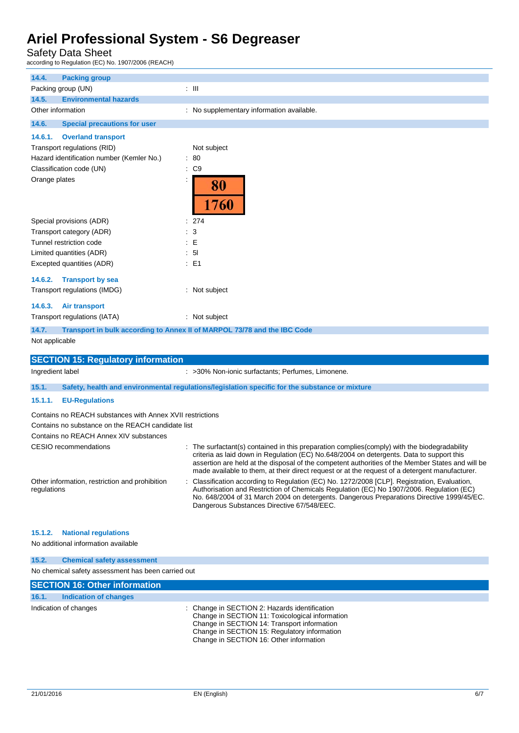## Safety Data Sheet

according to Regulation (EC) No. 1907/2006 (REACH)

| 14.4.<br><b>Packing group</b>                                                 |                                                                                                                                                                                                                                                                                                                                                                                                 |  |  |  |  |  |
|-------------------------------------------------------------------------------|-------------------------------------------------------------------------------------------------------------------------------------------------------------------------------------------------------------------------------------------------------------------------------------------------------------------------------------------------------------------------------------------------|--|--|--|--|--|
| Packing group (UN)                                                            | $:$ $\mathsf{III}$                                                                                                                                                                                                                                                                                                                                                                              |  |  |  |  |  |
| 14.5.<br><b>Environmental hazards</b>                                         |                                                                                                                                                                                                                                                                                                                                                                                                 |  |  |  |  |  |
| Other information                                                             | : No supplementary information available.                                                                                                                                                                                                                                                                                                                                                       |  |  |  |  |  |
| 14.6.<br><b>Special precautions for user</b>                                  |                                                                                                                                                                                                                                                                                                                                                                                                 |  |  |  |  |  |
| 14.6.1.<br><b>Overland transport</b>                                          |                                                                                                                                                                                                                                                                                                                                                                                                 |  |  |  |  |  |
| Transport regulations (RID)                                                   | Not subject                                                                                                                                                                                                                                                                                                                                                                                     |  |  |  |  |  |
| Hazard identification number (Kemler No.)                                     | : 80                                                                                                                                                                                                                                                                                                                                                                                            |  |  |  |  |  |
| Classification code (UN)                                                      | : C9                                                                                                                                                                                                                                                                                                                                                                                            |  |  |  |  |  |
| Orange plates                                                                 | 80<br>1760                                                                                                                                                                                                                                                                                                                                                                                      |  |  |  |  |  |
| Special provisions (ADR)                                                      | : 274                                                                                                                                                                                                                                                                                                                                                                                           |  |  |  |  |  |
| Transport category (ADR)                                                      | 3                                                                                                                                                                                                                                                                                                                                                                                               |  |  |  |  |  |
| Tunnel restriction code                                                       | : E                                                                                                                                                                                                                                                                                                                                                                                             |  |  |  |  |  |
| Limited quantities (ADR)                                                      | : 51                                                                                                                                                                                                                                                                                                                                                                                            |  |  |  |  |  |
| Excepted quantities (ADR)                                                     | $E = 1$                                                                                                                                                                                                                                                                                                                                                                                         |  |  |  |  |  |
| 14.6.2.<br><b>Transport by sea</b>                                            |                                                                                                                                                                                                                                                                                                                                                                                                 |  |  |  |  |  |
| Transport regulations (IMDG)                                                  | : Not subject                                                                                                                                                                                                                                                                                                                                                                                   |  |  |  |  |  |
| 14.6.3. Air transport                                                         |                                                                                                                                                                                                                                                                                                                                                                                                 |  |  |  |  |  |
| Transport regulations (IATA)                                                  | : Not subject                                                                                                                                                                                                                                                                                                                                                                                   |  |  |  |  |  |
| 14.7.                                                                         | Transport in bulk according to Annex II of MARPOL 73/78 and the IBC Code                                                                                                                                                                                                                                                                                                                        |  |  |  |  |  |
| Not applicable                                                                |                                                                                                                                                                                                                                                                                                                                                                                                 |  |  |  |  |  |
|                                                                               |                                                                                                                                                                                                                                                                                                                                                                                                 |  |  |  |  |  |
|                                                                               |                                                                                                                                                                                                                                                                                                                                                                                                 |  |  |  |  |  |
| <b>SECTION 15: Regulatory information</b><br>Ingredient label                 | : >30% Non-ionic surfactants; Perfumes, Limonene.                                                                                                                                                                                                                                                                                                                                               |  |  |  |  |  |
| 15.1.                                                                         | Safety, health and environmental regulations/legislation specific for the substance or mixture                                                                                                                                                                                                                                                                                                  |  |  |  |  |  |
| 15.1.1.<br><b>EU-Regulations</b>                                              |                                                                                                                                                                                                                                                                                                                                                                                                 |  |  |  |  |  |
| Contains no REACH substances with Annex XVII restrictions                     |                                                                                                                                                                                                                                                                                                                                                                                                 |  |  |  |  |  |
| Contains no substance on the REACH candidate list                             |                                                                                                                                                                                                                                                                                                                                                                                                 |  |  |  |  |  |
| Contains no REACH Annex XIV substances                                        |                                                                                                                                                                                                                                                                                                                                                                                                 |  |  |  |  |  |
| <b>CESIO</b> recommendations                                                  | : The surfactant(s) contained in this preparation complies (comply) with the biodegradability<br>criteria as laid down in Regulation (EC) No.648/2004 on detergents. Data to support this<br>assertion are held at the disposal of the competent authorities of the Member States and will be<br>made available to them, at their direct request or at the request of a detergent manufacturer. |  |  |  |  |  |
| Other information, restriction and prohibition<br>regulations                 | Classification according to Regulation (EC) No. 1272/2008 [CLP]. Registration, Evaluation,<br>Authorisation and Restriction of Chemicals Regulation (EC) No 1907/2006. Regulation (EC)<br>No. 648/2004 of 31 March 2004 on detergents. Dangerous Preparations Directive 1999/45/EC.<br>Dangerous Substances Directive 67/548/EEC.                                                               |  |  |  |  |  |
| 15.1.2.<br><b>National regulations</b><br>No additional information available |                                                                                                                                                                                                                                                                                                                                                                                                 |  |  |  |  |  |
| 15.2.<br><b>Chemical safety assessment</b>                                    |                                                                                                                                                                                                                                                                                                                                                                                                 |  |  |  |  |  |
| No chemical safety assessment has been carried out                            |                                                                                                                                                                                                                                                                                                                                                                                                 |  |  |  |  |  |
| <b>SECTION 16: Other information</b>                                          |                                                                                                                                                                                                                                                                                                                                                                                                 |  |  |  |  |  |

Indication of changes The Change in SECTION 2: Hazards identification Change in SECTION 11: Toxicological information Change in SECTION 14: Transport information Change in SECTION 15: Regulatory information Change in SECTION 16: Other information